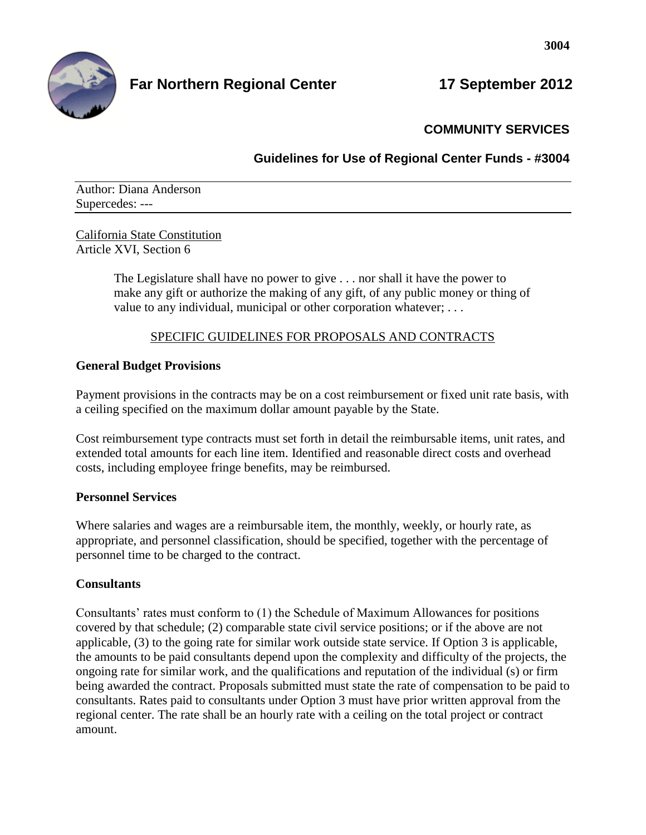

# **Far Northern Regional Center 17 September 2012**

# **COMMUNITY SERVICES**

**Guidelines for Use of Regional Center Funds - #3004**

Author: Diana Anderson Supercedes: ---

California State Constitution Article XVI, Section 6

> The Legislature shall have no power to give . . . nor shall it have the power to make any gift or authorize the making of any gift, of any public money or thing of value to any individual, municipal or other corporation whatever; ...

### SPECIFIC GUIDELINES FOR PROPOSALS AND CONTRACTS

### **General Budget Provisions**

Payment provisions in the contracts may be on a cost reimbursement or fixed unit rate basis, with a ceiling specified on the maximum dollar amount payable by the State.

Cost reimbursement type contracts must set forth in detail the reimbursable items, unit rates, and extended total amounts for each line item. Identified and reasonable direct costs and overhead costs, including employee fringe benefits, may be reimbursed.

#### **Personnel Services**

Where salaries and wages are a reimbursable item, the monthly, weekly, or hourly rate, as appropriate, and personnel classification, should be specified, together with the percentage of personnel time to be charged to the contract.

# **Consultants**

Consultants' rates must conform to (1) the Schedule of Maximum Allowances for positions covered by that schedule; (2) comparable state civil service positions; or if the above are not applicable, (3) to the going rate for similar work outside state service. If Option 3 is applicable, the amounts to be paid consultants depend upon the complexity and difficulty of the projects, the ongoing rate for similar work, and the qualifications and reputation of the individual (s) or firm being awarded the contract. Proposals submitted must state the rate of compensation to be paid to consultants. Rates paid to consultants under Option 3 must have prior written approval from the regional center. The rate shall be an hourly rate with a ceiling on the total project or contract amount.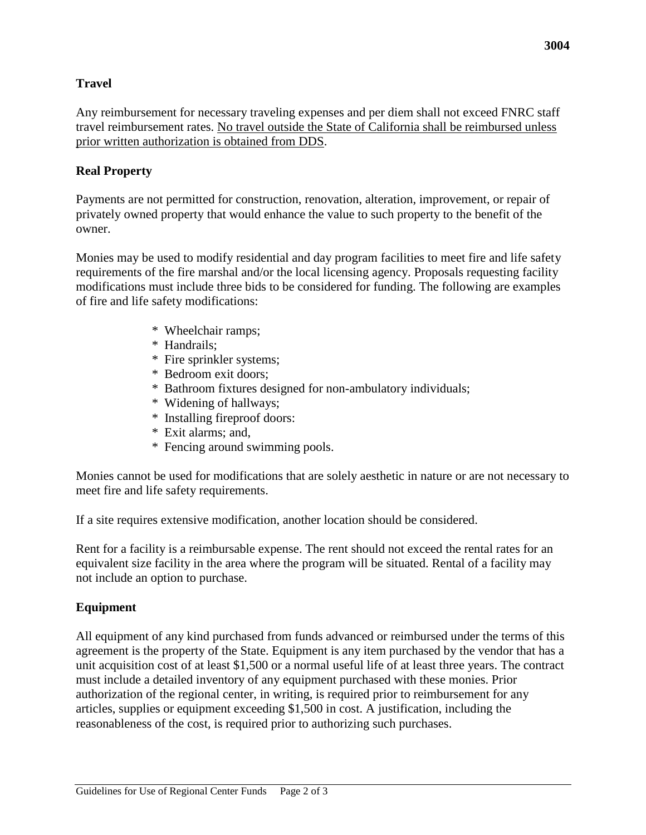## **Travel**

Any reimbursement for necessary traveling expenses and per diem shall not exceed FNRC staff travel reimbursement rates. No travel outside the State of California shall be reimbursed unless prior written authorization is obtained from DDS.

#### **Real Property**

Payments are not permitted for construction, renovation, alteration, improvement, or repair of privately owned property that would enhance the value to such property to the benefit of the owner.

Monies may be used to modify residential and day program facilities to meet fire and life safety requirements of the fire marshal and/or the local licensing agency. Proposals requesting facility modifications must include three bids to be considered for funding. The following are examples of fire and life safety modifications:

- \* Wheelchair ramps;
- \* Handrails;
- \* Fire sprinkler systems;
- \* Bedroom exit doors;
- \* Bathroom fixtures designed for non-ambulatory individuals;
- \* Widening of hallways;
- \* Installing fireproof doors:
- \* Exit alarms; and,
- \* Fencing around swimming pools.

Monies cannot be used for modifications that are solely aesthetic in nature or are not necessary to meet fire and life safety requirements.

If a site requires extensive modification, another location should be considered.

Rent for a facility is a reimbursable expense. The rent should not exceed the rental rates for an equivalent size facility in the area where the program will be situated. Rental of a facility may not include an option to purchase.

#### **Equipment**

All equipment of any kind purchased from funds advanced or reimbursed under the terms of this agreement is the property of the State. Equipment is any item purchased by the vendor that has a unit acquisition cost of at least \$1,500 or a normal useful life of at least three years. The contract must include a detailed inventory of any equipment purchased with these monies. Prior authorization of the regional center, in writing, is required prior to reimbursement for any articles, supplies or equipment exceeding \$1,500 in cost. A justification, including the reasonableness of the cost, is required prior to authorizing such purchases.